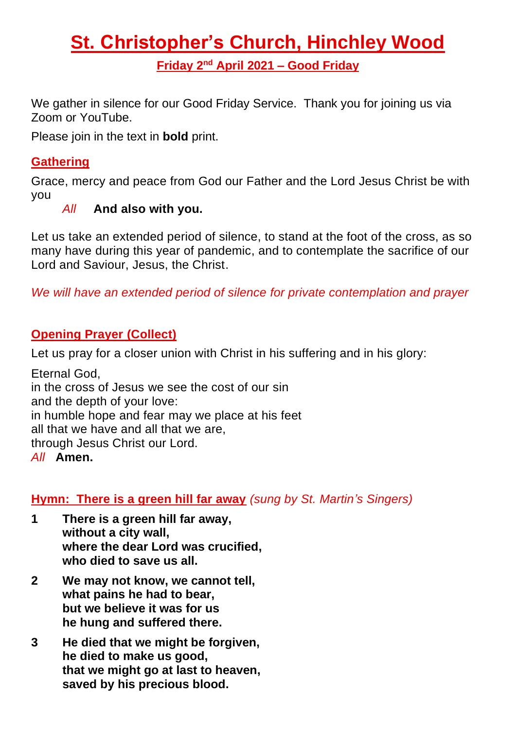# **St. Christopher's Church, Hinchley Wood Friday 2 nd April 2021 – Good Friday**

We gather in silence for our Good Friday Service. Thank you for joining us via Zoom or YouTube.

Please join in the text in **bold** print.

# **Gathering**

Grace, mercy and peace from God our Father and the Lord Jesus Christ be with you

# *All* **And also with you.**

Let us take an extended period of silence, to stand at the foot of the cross, as so many have during this year of pandemic, and to contemplate the sacrifice of our Lord and Saviour, Jesus, the Christ.

*We will have an extended period of silence for private contemplation and prayer*

#### **Opening Prayer (Collect)**

Let us pray for a closer union with Christ in his suffering and in his glory:

Eternal God, in the cross of Jesus we see the cost of our sin and the depth of your love: in humble hope and fear may we place at his feet all that we have and all that we are, through Jesus Christ our Lord. *All* **Amen.**

**Hymn: There is a green hill far away** *(sung by St. Martin's Singers)*

- **1 There is a green hill far away, without a city wall, where the dear Lord was crucified, who died to save us all.**
- **2 We may not know, we cannot tell, what pains he had to bear, but we believe it was for us he hung and suffered there.**
- **3 He died that we might be forgiven, he died to make us good, that we might go at last to heaven, saved by his precious blood.**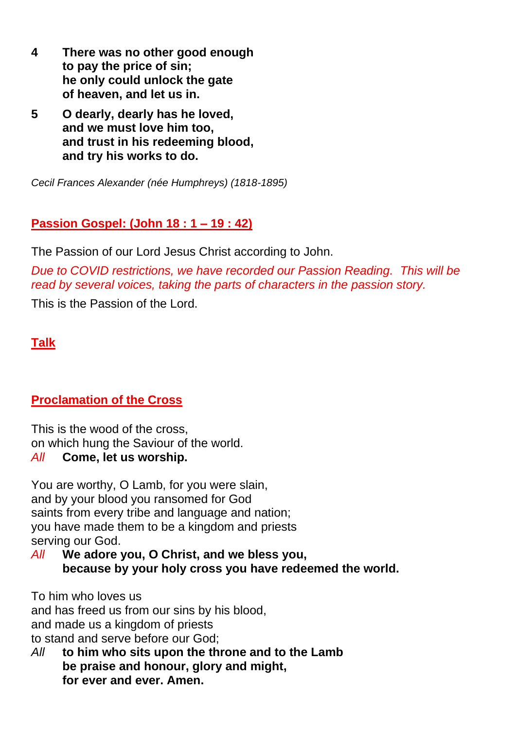- **4 There was no other good enough to pay the price of sin; he only could unlock the gate of heaven, and let us in.**
- **5 O dearly, dearly has he loved, and we must love him too, and trust in his redeeming blood, and try his works to do.**

*Cecil Frances Alexander (née Humphreys) (1818-1895)*

#### **Passion Gospel: (John 18 : 1 – 19 : 42)**

The Passion of our Lord Jesus Christ according to John.

*Due to COVID restrictions, we have recorded our Passion Reading. This will be read by several voices, taking the parts of characters in the passion story.*  This is the Passion of the Lord.

# **Talk**

#### **Proclamation of the Cross**

This is the wood of the cross, on which hung the Saviour of the world. *All* **Come, let us worship.**

You are worthy, O Lamb, for you were slain, and by your blood you ransomed for God saints from every tribe and language and nation; you have made them to be a kingdom and priests serving our God.

*All* **We adore you, O Christ, and we bless you, because by your holy cross you have redeemed the world.**

To him who loves us and has freed us from our sins by his blood, and made us a kingdom of priests to stand and serve before our God;

*All* **to him who sits upon the throne and to the Lamb be praise and honour, glory and might, for ever and ever. Amen.**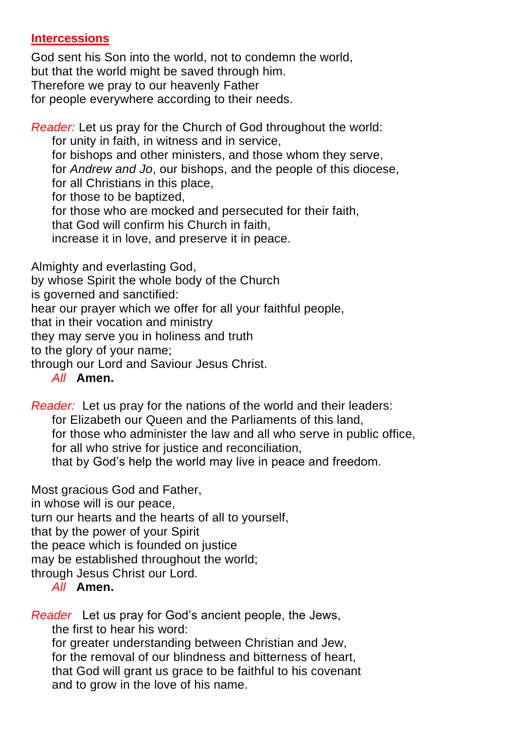#### **Intercessions**

God sent his Son into the world, not to condemn the world, but that the world might be saved through him. Therefore we pray to our heavenly Father for people everywhere according to their needs.

*Reader:* Let us pray for the Church of God throughout the world:

for unity in faith, in witness and in service,

for bishops and other ministers, and those whom they serve,

for *Andrew and Jo*, our bishops, and the people of this diocese,

for all Christians in this place,

for those to be baptized,

for those who are mocked and persecuted for their faith,

that God will confirm his Church in faith,

increase it in love, and preserve it in peace.

Almighty and everlasting God,

by whose Spirit the whole body of the Church

is governed and sanctified:

hear our prayer which we offer for all your faithful people,

that in their vocation and ministry

they may serve you in holiness and truth

to the glory of your name;

through our Lord and Saviour Jesus Christ.

*All* **Amen.**

*Reader:* Let us pray for the nations of the world and their leaders: for Elizabeth our Queen and the Parliaments of this land, for those who administer the law and all who serve in public office, for all who strive for justice and reconciliation, that by God's help the world may live in peace and freedom.

Most gracious God and Father,

in whose will is our peace,

turn our hearts and the hearts of all to yourself,

that by the power of your Spirit

the peace which is founded on justice

may be established throughout the world;

through Jesus Christ our Lord.

#### *All* **Amen.**

*Reader* Let us pray for God's ancient people, the Jews,

the first to hear his word:

for greater understanding between Christian and Jew, for the removal of our blindness and bitterness of heart, that God will grant us grace to be faithful to his covenant and to grow in the love of his name.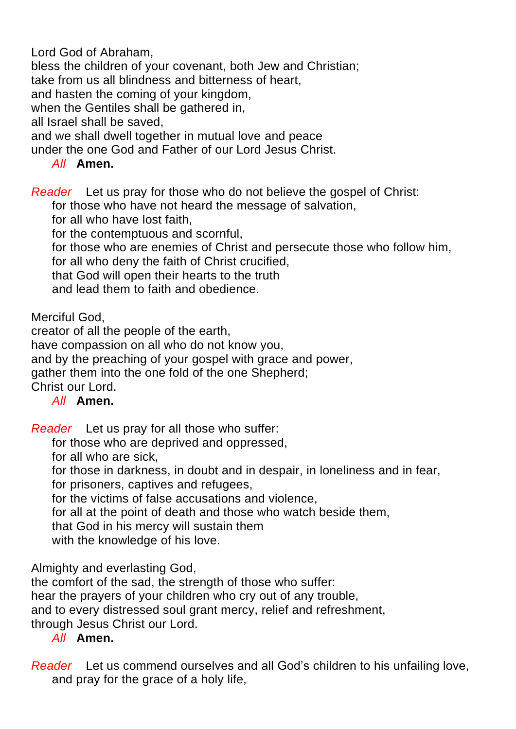Lord God of Abraham,

bless the children of your covenant, both Jew and Christian;

take from us all blindness and bitterness of heart,

and hasten the coming of your kingdom,

when the Gentiles shall be gathered in,

all Israel shall be saved,

and we shall dwell together in mutual love and peace

under the one God and Father of our Lord Jesus Christ.

#### *All* **Amen.**

*Reader* Let us pray for those who do not believe the gospel of Christ:

for those who have not heard the message of salvation,

for all who have lost faith,

for the contemptuous and scornful,

for those who are enemies of Christ and persecute those who follow him,

for all who deny the faith of Christ crucified,

that God will open their hearts to the truth

and lead them to faith and obedience.

Merciful God,

creator of all the people of the earth,

have compassion on all who do not know you,

and by the preaching of your gospel with grace and power,

gather them into the one fold of the one Shepherd;

Christ our Lord.

#### *All* **Amen.**

*Reader* Let us pray for all those who suffer:

for those who are deprived and oppressed,

for all who are sick,

for those in darkness, in doubt and in despair, in loneliness and in fear,

for prisoners, captives and refugees,

for the victims of false accusations and violence,

for all at the point of death and those who watch beside them,

that God in his mercy will sustain them

with the knowledge of his love.

Almighty and everlasting God,

the comfort of the sad, the strength of those who suffer:

hear the prayers of your children who cry out of any trouble,

and to every distressed soul grant mercy, relief and refreshment,

through Jesus Christ our Lord.

#### *All* **Amen.**

*Reader* Let us commend ourselves and all God's children to his unfailing love, and pray for the grace of a holy life,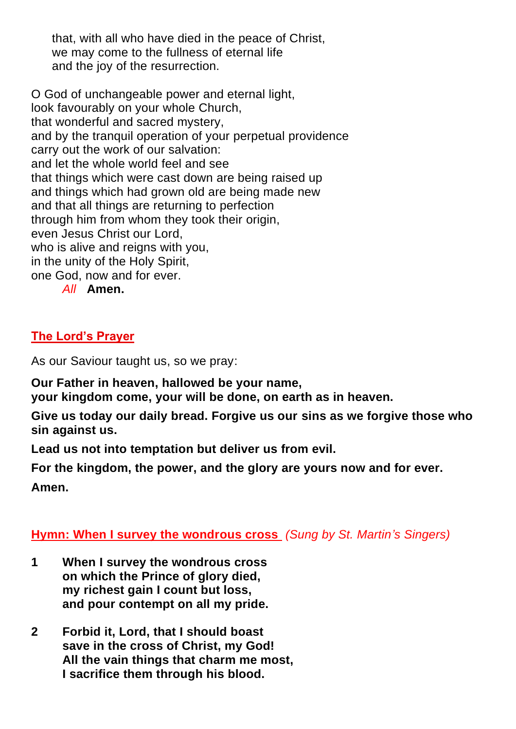that, with all who have died in the peace of Christ, we may come to the fullness of eternal life and the joy of the resurrection.

O God of unchangeable power and eternal light, look favourably on your whole Church, that wonderful and sacred mystery, and by the tranquil operation of your perpetual providence carry out the work of our salvation: and let the whole world feel and see that things which were cast down are being raised up and things which had grown old are being made new and that all things are returning to perfection through him from whom they took their origin, even Jesus Christ our Lord, who is alive and reigns with you, in the unity of the Holy Spirit, one God, now and for ever. *All* **Amen.**

# **The Lord's Prayer**

As our Saviour taught us, so we pray:

**Our Father in heaven, hallowed be your name,**

**your kingdom come, your will be done, on earth as in heaven.**

**Give us today our daily bread. Forgive us our sins as we forgive those who sin against us.**

**Lead us not into temptation but deliver us from evil.**

**For the kingdom, the power, and the glory are yours now and for ever. Amen.**

#### **Hymn: When I survey the wondrous cross** *(Sung by St. Martin's Singers)*

- **1 When I survey the wondrous cross on which the Prince of glory died, my richest gain I count but loss, and pour contempt on all my pride.**
- **2 Forbid it, Lord, that I should boast save in the cross of Christ, my God! All the vain things that charm me most, I sacrifice them through his blood.**